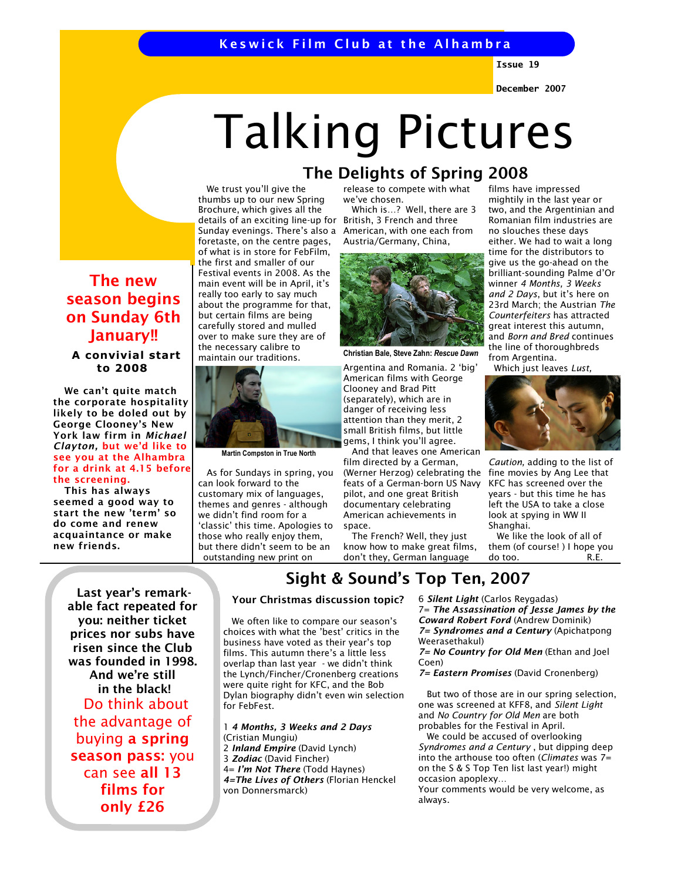# Keswick Film Club at the Alhambra

Issue 19

December 2007

# Talking Pictures

 We trust you'll give the thumbs up to our new Spring Brochure, which gives all the details of an exciting line-up for Sunday evenings. There's also a foretaste, on the centre pages, of what is in store for FebFilm, the first and smaller of our Festival events in 2008. As the main event will be in April, it's really too early to say much about the programme for that, but certain films are being carefully stored and mulled over to make sure they are of the necessary calibre to maintain our traditions.



Martin Compston in True North

 As for Sundays in spring, you can look forward to the customary mix of languages, themes and genres - although we didn't find room for a 'classic' this time. Apologies to those who really enjoy them, but there didn't seem to be an outstanding new print on

release to compete with what The Delights of Spring 2008

> we've chosen. Which is…? Well, there are 3 British, 3 French and three American, with one each from Austria/Germany, China,



Christian Bale, Steve Zahn: Rescue Dawn

Argentina and Romania. 2 'big' American films with George Clooney and Brad Pitt (separately), which are in danger of receiving less attention than they merit, 2 small British films, but little gems, I think you'll agree.

 And that leaves one American film directed by a German, (Werner Herzog) celebrating the feats of a German-born US Navy pilot, and one great British documentary celebrating American achievements in space.

 The French? Well, they just know how to make great films, don't they, German language

films have impressed mightily in the last year or two, and the Argentinian and Romanian film industries are no slouches these days either. We had to wait a long time for the distributors to give us the go-ahead on the brilliant-sounding Palme d'Or winner 4 Months, 3 Weeks and 2 Days, but it's here on 23rd March; the Austrian The Counterfeiters has attracted great interest this autumn, and Born and Bred continues the line of thoroughbreds from Argentina.

Which just leaves Lust,



Caution, adding to the list of fine movies by Ang Lee that KFC has screened over the years - but this time he has left the USA to take a close look at spying in WW II Shanghai.

 We like the look of all of them (of course! ) I hope you do too. R.E.

Last year's remarkable fact repeated for you: neither ticket prices nor subs have risen since the Club was founded in 1998. And we're still in the black! Do think about the advantage of buying a spring season pass: you can see all 13 films for only £26

The new season begins on Sunday 6th January!! A convivial start to 2008

 We can't quite match the corporate hospitality likely to be doled out by George Clooney's New York law firm in Michael Clayton, but we'd like to see you at the Alhambra for a drink at 4.15 before

the screening. This has always seemed a good way to start the new 'term' so do come and renew acquaintance or make

new friends.

# Sight & Sound's Top Ten, 2007

## Your Christmas discussion topic?

 We often like to compare our season's choices with what the 'best' critics in the business have voted as their year's top films. This autumn there's a little less overlap than last year - we didn't think the Lynch/Fincher/Cronenberg creations were quite right for KFC, and the Bob Dylan biography didn't even win selection for FebFest.

#### 1 4 Months, 3 Weeks and 2 Days

(Cristian Mungiu) 2 Inland Empire (David Lynch) 3 Zodiac (David Fincher) 4= I'm Not There (Todd Haynes) 4=The Lives of Others (Florian Henckel von Donnersmarck)

6 Silent Light (Carlos Reygadas) 7= The Assassination of Jesse James by the Coward Robert Ford (Andrew Dominik) 7= Syndromes and a Century (Apichatpong Weerasethakul)

7= No Country for Old Men (Ethan and Joel Coen)

7= Eastern Promises (David Cronenberg)

 But two of those are in our spring selection, one was screened at KFF8, and Silent Light and No Country for Old Men are both probables for the Festival in April.

 We could be accused of overlooking Syndromes and a Century, but dipping deep into the arthouse too often (Climates was 7= on the S & S Top Ten list last year!) might occasion apoplexy…

Your comments would be very welcome, as always.